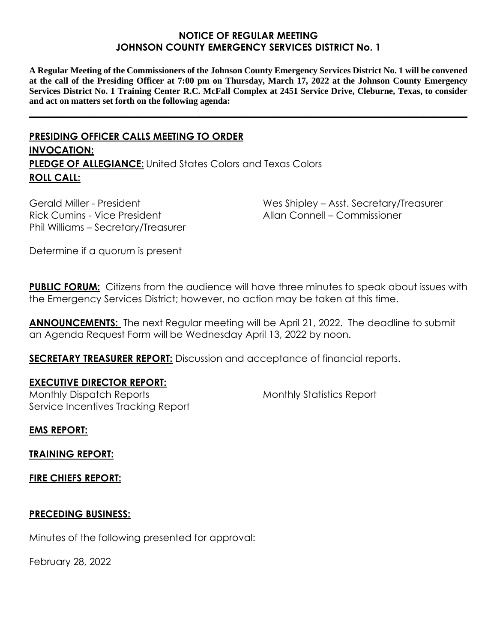#### **NOTICE OF REGULAR MEETING JOHNSON COUNTY EMERGENCY SERVICES DISTRICT No. 1**

**A Regular Meeting of the Commissioners of the Johnson County Emergency Services District No. 1 will be convened at the call of the Presiding Officer at 7:00 pm on Thursday, March 17, 2022 at the Johnson County Emergency Services District No. 1 Training Center R.C. McFall Complex at 2451 Service Drive, Cleburne, Texas, to consider and act on matters set forth on the following agenda:**

**\_\_\_\_\_\_\_\_\_\_\_\_\_\_\_\_\_\_\_\_\_\_\_\_\_\_\_\_\_\_\_\_\_\_\_\_\_\_\_\_\_\_\_\_\_\_\_\_\_\_\_\_\_\_\_\_\_\_\_\_\_\_\_\_\_\_\_\_\_\_\_\_\_\_\_\_\_\_\_\_\_\_\_\_\_\_\_\_\_\_**

# **PRESIDING OFFICER CALLS MEETING TO ORDER INVOCATION: PLEDGE OF ALLEGIANCE:** United States Colors and Texas Colors **ROLL CALL:**

Gerald Miller - President Rick Cumins - Vice President Phil Williams – Secretary/Treasurer Wes Shipley – Asst. Secretary/Treasurer Allan Connell – Commissioner

Determine if a quorum is present

**PUBLIC FORUM:** Citizens from the audience will have three minutes to speak about issues with the Emergency Services District; however, no action may be taken at this time.

**ANNOUNCEMENTS:** The next Regular meeting will be April 21, 2022. The deadline to submit an Agenda Request Form will be Wednesday April 13, 2022 by noon.

**SECRETARY TREASURER REPORT:** Discussion and acceptance of financial reports.

# **EXECUTIVE DIRECTOR REPORT:**

Monthly Dispatch Reports Service Incentives Tracking Report Monthly Statistics Report

**EMS REPORT:**

**TRAINING REPORT:**

**FIRE CHIEFS REPORT:**

# **PRECEDING BUSINESS:**

Minutes of the following presented for approval:

February 28, 2022